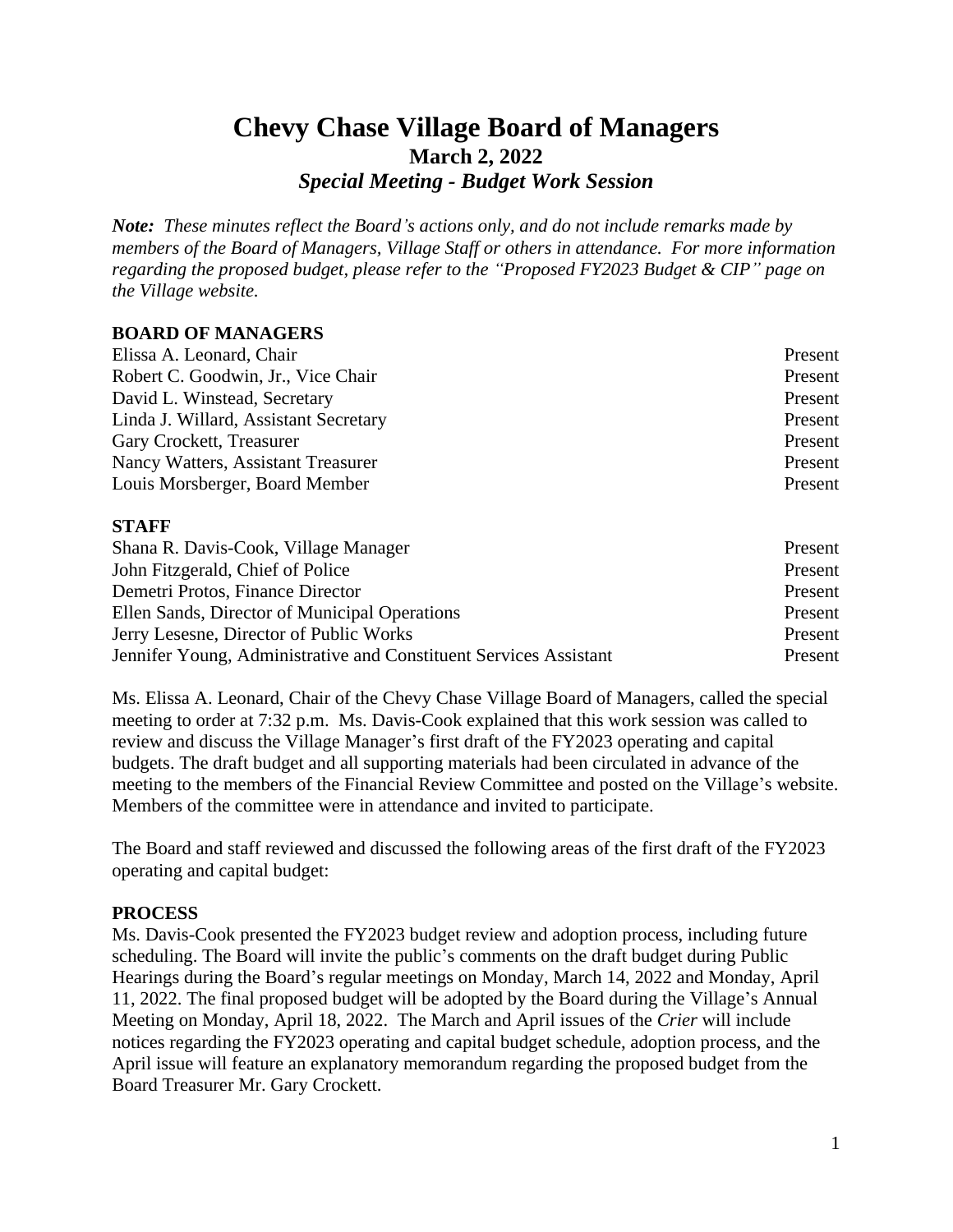# **Chevy Chase Village Board of Managers March 2, 2022** *Special Meeting - Budget Work Session*

*Note: These minutes reflect the Board's actions only, and do not include remarks made by members of the Board of Managers, Village Staff or others in attendance. For more information regarding the proposed budget, please refer to the "Proposed FY2023 Budget & CIP" page on the Village website.*

## **BOARD OF MANAGERS**

| Elissa A. Leonard, Chair              | Present |
|---------------------------------------|---------|
| Robert C. Goodwin, Jr., Vice Chair    | Present |
| David L. Winstead, Secretary          | Present |
| Linda J. Willard, Assistant Secretary | Present |
| Gary Crockett, Treasurer              | Present |
| Nancy Watters, Assistant Treasurer    | Present |
| Louis Morsberger, Board Member        | Present |

#### **STAFF**

| Shana R. Davis-Cook, Village Manager                              | Present |
|-------------------------------------------------------------------|---------|
| John Fitzgerald, Chief of Police                                  | Present |
| Demetri Protos, Finance Director                                  | Present |
| Ellen Sands, Director of Municipal Operations                     | Present |
| Jerry Lesesne, Director of Public Works                           | Present |
| Jennifer Young, Administrative and Constituent Services Assistant | Present |

Ms. Elissa A. Leonard, Chair of the Chevy Chase Village Board of Managers, called the special meeting to order at 7:32 p.m. Ms. Davis-Cook explained that this work session was called to review and discuss the Village Manager's first draft of the FY2023 operating and capital budgets. The draft budget and all supporting materials had been circulated in advance of the meeting to the members of the Financial Review Committee and posted on the Village's website. Members of the committee were in attendance and invited to participate.

The Board and staff reviewed and discussed the following areas of the first draft of the FY2023 operating and capital budget:

## **PROCESS**

Ms. Davis-Cook presented the FY2023 budget review and adoption process, including future scheduling. The Board will invite the public's comments on the draft budget during Public Hearings during the Board's regular meetings on Monday, March 14, 2022 and Monday, April 11, 2022. The final proposed budget will be adopted by the Board during the Village's Annual Meeting on Monday, April 18, 2022. The March and April issues of the *Crier* will include notices regarding the FY2023 operating and capital budget schedule, adoption process, and the April issue will feature an explanatory memorandum regarding the proposed budget from the Board Treasurer Mr. Gary Crockett.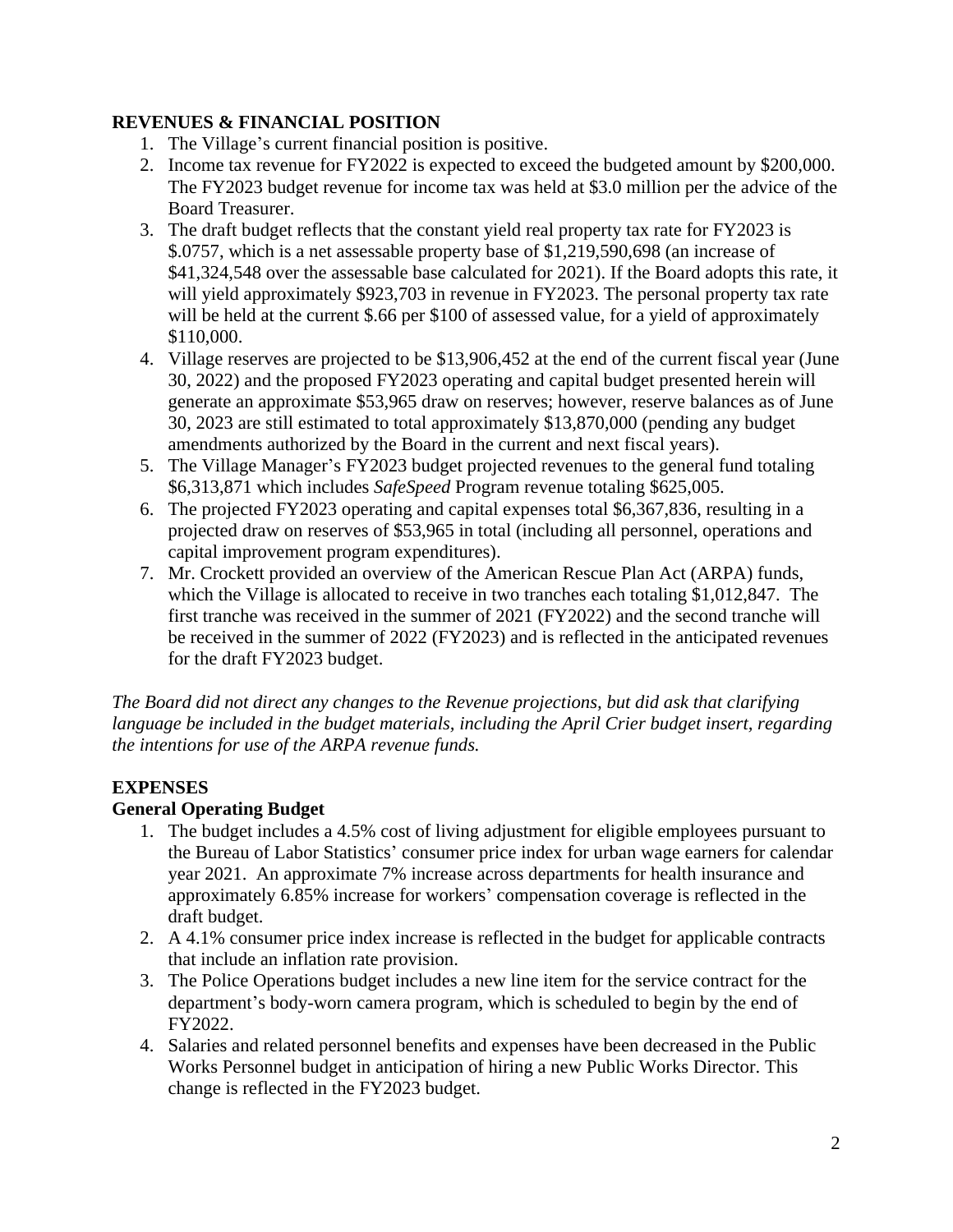## **REVENUES & FINANCIAL POSITION**

- 1. The Village's current financial position is positive.
- 2. Income tax revenue for FY2022 is expected to exceed the budgeted amount by \$200,000. The FY2023 budget revenue for income tax was held at \$3.0 million per the advice of the Board Treasurer.
- 3. The draft budget reflects that the constant yield real property tax rate for FY2023 is \$.0757, which is a net assessable property base of \$1,219,590,698 (an increase of \$41,324,548 over the assessable base calculated for 2021). If the Board adopts this rate, it will yield approximately \$923,703 in revenue in FY2023. The personal property tax rate will be held at the current \$.66 per \$100 of assessed value, for a yield of approximately \$110,000.
- 4. Village reserves are projected to be \$13,906,452 at the end of the current fiscal year (June 30, 2022) and the proposed FY2023 operating and capital budget presented herein will generate an approximate \$53,965 draw on reserves; however, reserve balances as of June 30, 2023 are still estimated to total approximately \$13,870,000 (pending any budget amendments authorized by the Board in the current and next fiscal years).
- 5. The Village Manager's FY2023 budget projected revenues to the general fund totaling \$6,313,871 which includes *SafeSpeed* Program revenue totaling \$625,005.
- 6. The projected FY2023 operating and capital expenses total \$6,367,836, resulting in a projected draw on reserves of \$53,965 in total (including all personnel, operations and capital improvement program expenditures).
- 7. Mr. Crockett provided an overview of the American Rescue Plan Act (ARPA) funds, which the Village is allocated to receive in two tranches each totaling \$1,012,847. The first tranche was received in the summer of 2021 (FY2022) and the second tranche will be received in the summer of 2022 (FY2023) and is reflected in the anticipated revenues for the draft FY2023 budget.

*The Board did not direct any changes to the Revenue projections, but did ask that clarifying language be included in the budget materials, including the April Crier budget insert, regarding the intentions for use of the ARPA revenue funds.*

# **EXPENSES**

# **General Operating Budget**

- 1. The budget includes a 4.5% cost of living adjustment for eligible employees pursuant to the Bureau of Labor Statistics' consumer price index for urban wage earners for calendar year 2021. An approximate 7% increase across departments for health insurance and approximately 6.85% increase for workers' compensation coverage is reflected in the draft budget.
- 2. A 4.1% consumer price index increase is reflected in the budget for applicable contracts that include an inflation rate provision.
- 3. The Police Operations budget includes a new line item for the service contract for the department's body-worn camera program, which is scheduled to begin by the end of FY2022.
- 4. Salaries and related personnel benefits and expenses have been decreased in the Public Works Personnel budget in anticipation of hiring a new Public Works Director. This change is reflected in the FY2023 budget.